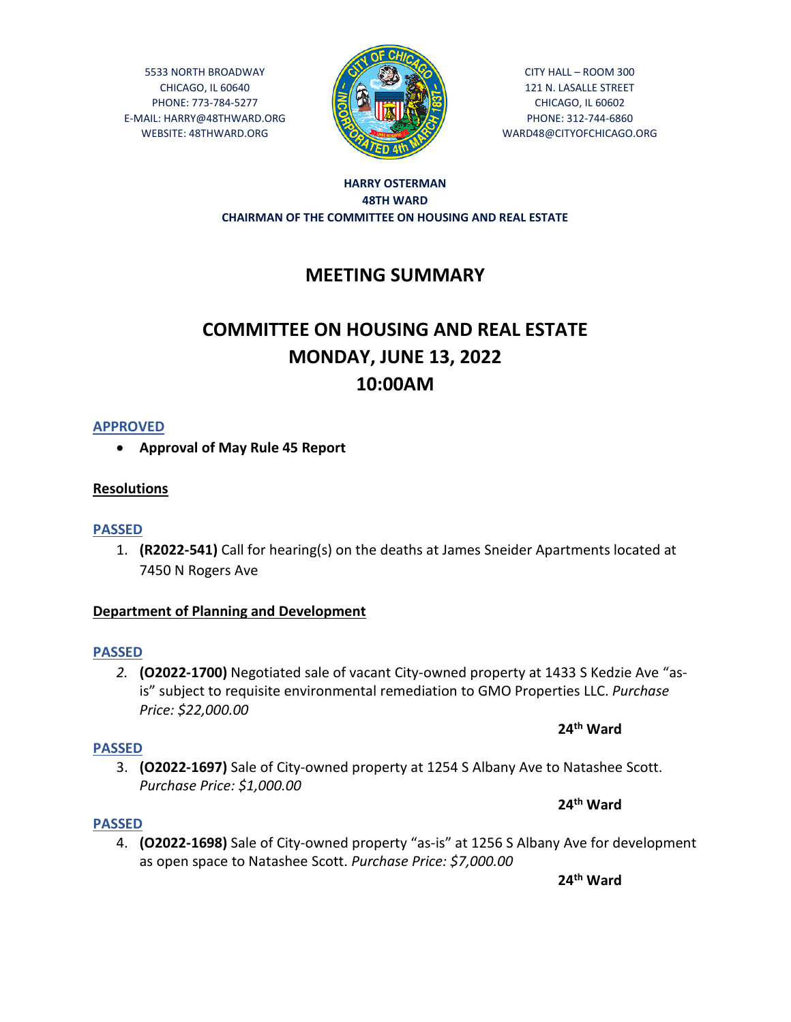5533 NORTH BROADWAY CHICAGO, IL 60640 PHONE: 773-784-5277 E-MAIL: HARRY@48THWARD.ORG WEBSITE: 48THWARD.ORG



CITY HALL – ROOM 300 121 N. LASALLE STREET CHICAGO, IL 60602 PHONE: 312-744-6860 WARD48@CITYOFCHICAGO.ORG

## **HARRY OSTERMAN 48TH WARD CHAIRMAN OF THE COMMITTEE ON HOUSING AND REAL ESTATE**

## **MEETING SUMMARY**

# **COMMITTEE ON HOUSING AND REAL ESTATE MONDAY, JUNE 13, 2022 10:00AM**

## **APPROVED**

**Approval of May Rule 45 Report** 

## **Resolutions**

## **PASSED**

1. **(R2022-541)** Call for hearing(s) on the deaths at James Sneider Apartments located at 7450 N Rogers Ave

## **Department of Planning and Development**

## **PASSED**

*2.* **(O2022-1700)** Negotiated sale of vacant City-owned property at 1433 S Kedzie Ave "asis" subject to requisite environmental remediation to GMO Properties LLC. *Purchase Price: \$22,000.00*

## **24th Ward**

## **PASSED**

3. **(O2022-1697)** Sale of City-owned property at 1254 S Albany Ave to Natashee Scott. *Purchase Price: \$1,000.00*

## **24th Ward**

## **PASSED**

4. **(O2022-1698)** Sale of City-owned property "as-is" at 1256 S Albany Ave for development as open space to Natashee Scott. *Purchase Price: \$7,000.00*

**24th Ward**